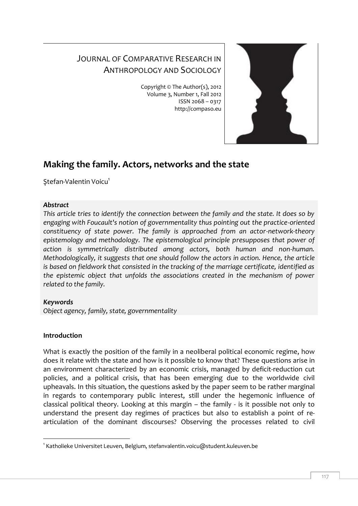# JOURNAL OF COMPARATIVE RESEARCH IN ANTHROPOLOGY AND SOCIOLOGY

Copyright © The Author(s), 2012 Volume 3, Number 1, Fall 2012 ISSN 2068 – 0317 http://compaso.eu



# **Making the family. Actors, networks and the state**

Stefan-Valentin Voicu<sup>1</sup>

# *Abstract*

*This article tries to identify the connection between the family and the state. It does so by engaging with Foucault's notion of governmentality thus pointing out the practice-oriented constituency of state power. The family is approached from an actor-network-theory epistemology and methodology. The epistemological principle presupposes that power of action is symmetrically distributed among actors, both human and non-human. Methodologically, it suggests that one should follow the actors in action. Hence, the article is based on fieldwork that consisted in the tracking of the marriage certificate, identified as the epistemic object that unfolds the associations created in the mechanism of power related to the family.*

# *Keywords*

*Object agency, family, state, governmentality*

### **Introduction**

What is exactly the position of the family in a neoliberal political economic regime, how does it relate with the state and how is it possible to know that? These questions arise in an environment characterized by an economic crisis, managed by deficit-reduction cut policies, and a political crisis, that has been emerging due to the worldwide civil upheavals. In this situation, the questions asked by the paper seem to be rather marginal in regards to contemporary public interest, still under the hegemonic influence of classical political theory. Looking at this margin – the family - is it possible not only to understand the present day regimes of practices but also to establish a point of rearticulation of the dominant discourses? Observing the processes related to civil

<sup>-</sup>1 Katholieke Universitet Leuven, Belgium, stefanvalentin.voicu@student.kuleuven.be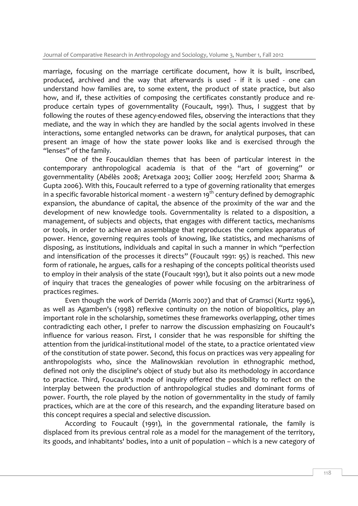marriage, focusing on the marriage certificate document, how it is built, inscribed, produced, archived and the way that afterwards is used - if it is used - one can understand how families are, to some extent, the product of state practice, but also how, and if, these activities of composing the certificates constantly produce and reproduce certain types of governmentality (Foucault, 1991). Thus, I suggest that by following the routes of these agency-endowed files, observing the interactions that they mediate, and the way in which they are handled by the social agents involved in these interactions, some entangled networks can be drawn, for analytical purposes, that can present an image of how the state power looks like and is exercised through the "lenses" of the family.

One of the Foucauldian themes that has been of particular interest in the contemporary anthropological academia is that of the "art of governing" or governmentality (Abélès 2008; Aretxaga 2003; Collier 2009; Herzfeld 2001; Sharma & Gupta 2006). With this, Foucault referred to a type of governing rationality that emerges in a specific favorable historical moment - a western  $19<sup>th</sup>$  century defined by demographic expansion, the abundance of capital, the absence of the proximity of the war and the development of new knowledge tools. Governmentality is related to a disposition, a management, of subjects and objects, that engages with different tactics, mechanisms or tools, in order to achieve an assemblage that reproduces the complex apparatus of power. Hence, governing requires tools of knowing, like statistics, and mechanisms of disposing, as institutions, individuals and capital in such a manner in which "perfection and intensification of the processes it directs" (Foucault 1991: 95) is reached. This new form of rationale, he argues, calls for a reshaping of the concepts political theorists used to employ in their analysis of the state (Foucault 1991), but it also points out a new mode of inquiry that traces the genealogies of power while focusing on the arbitrariness of practices regimes.

Even though the work of Derrida (Morris 2007) and that of Gramsci (Kurtz 1996), as well as Agamben's (1998) reflexive continuity on the notion of biopolitics, play an important role in the scholarship, sometimes these frameworks overlapping, other times contradicting each other, I prefer to narrow the discussion emphasizing on Foucault's influence for various reason. First, I consider that he was responsible for shifting the attention from the juridical-institutional model of the state, to a practice orientated view of the constitution of state power. Second, this focus on practices was very appealing for anthropologists who, since the Malinowskian revolution in ethnographic method, defined not only the discipline's object of study but also its methodology in accordance to practice. Third, Foucault's mode of inquiry offered the possibility to reflect on the interplay between the production of anthropological studies and dominant forms of power. Fourth, the role played by the notion of governmentality in the study of family practices, which are at the core of this research, and the expanding literature based on this concept requires a special and selective discussion.

According to Foucault (1991), in the governmental rationale, the family is displaced from its previous central role as a model for the management of the territory, its goods, and inhabitants' bodies, into a unit of population – which is a new category of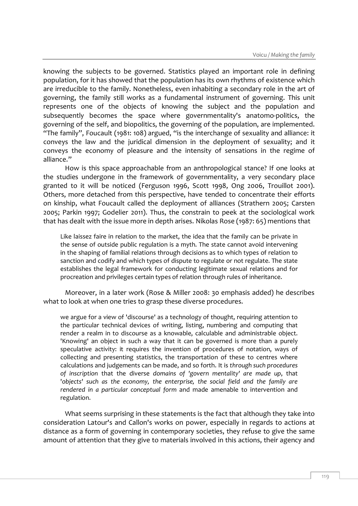knowing the subjects to be governed. Statistics played an important role in defining population, for it has showed that the population has its own rhythms of existence which are irreducible to the family. Nonetheless, even inhabiting a secondary role in the art of governing, the family still works as a fundamental instrument of governing. This unit represents one of the objects of knowing the subject and the population and subsequently becomes the space where governmentality's anatomo-politics, the governing of the self, and biopolitics, the governing of the population, are implemented. "The family", Foucault (1981: 108) argued, "is the interchange of sexuality and alliance: it conveys the law and the juridical dimension in the deployment of sexuality; and it conveys the economy of pleasure and the intensity of sensations in the regime of alliance."

How is this space approachable from an anthropological stance? If one looks at the studies undergone in the framework of governmentality, a very secondary place granted to it will be noticed (Ferguson 1996, Scott 1998, Ong 2006, Trouillot 2001). Others, more detached from this perspective, have tended to concentrate their efforts on kinship, what Foucault called the deployment of alliances (Strathern 2005; Carsten 2005; Parkin 1997; Godelier 2011). Thus, the constrain to peek at the sociological work that has dealt with the issue more in depth arises. Nikolas Rose (1987: 65) mentions that

Like laissez faire in relation to the market, the idea that the family can be private in the sense of outside public regulation is a myth. The state cannot avoid intervening in the shaping of familial relations through decisions as to which types of relation to sanction and codify and which types of dispute to regulate or not regulate. The state establishes the legal framework for conducting legitimate sexual relations and for procreation and privileges certain types of relation through rules of inheritance.

Moreover, in a later work (Rose & Miller 2008: 30 emphasis added) he describes what to look at when one tries to grasp these diverse procedures.

we argue for a view of 'discourse' as a technology of thought, requiring attention to the particular technical devices of writing, listing, numbering and computing that render a realm in to discourse as a knowable, calculable and administrable object. 'Knowing' an object in such a way that it can be governed is more than a purely speculative activity: it requires the invention of procedures of notation, ways of collecting and presenting statistics, the transportation of these to centres where calculations and judgements can be made, and so forth. It is *through such procedures of inscription* that the diverse *domains of 'govern mentality' are made up*, that '*objects' such as the economy, the enterprise, the social field and the family are rendered in a particular conceptual form* and made amenable to intervention and regulation.

What seems surprising in these statements is the fact that although they take into consideration Latour's and Callon's works on power, especially in regards to actions at distance as a form of governing in contemporary societies, they refuse to give the same amount of attention that they give to materials involved in this actions, their agency and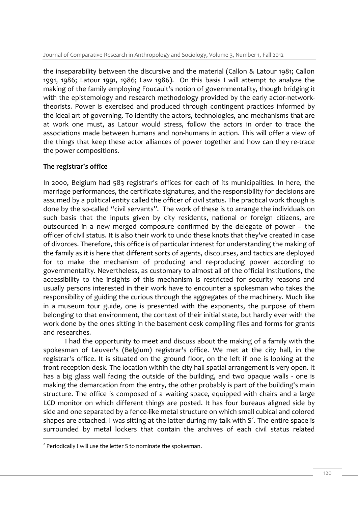the inseparability between the discursive and the material (Callon & Latour 1981; Callon 1991, 1986; Latour 1991, 1986; Law 1986). On this basis I will attempt to analyze the making of the family employing Foucault's notion of governmentality, though bridging it with the epistemology and research methodology provided by the early actor-networktheorists. Power is exercised and produced through contingent practices informed by the ideal art of governing. To identify the actors, technologies, and mechanisms that are at work one must, as Latour would stress, follow the actors in order to trace the associations made between humans and non-humans in action. This will offer a view of the things that keep these actor alliances of power together and how can they re-trace the power compositions.

# **The registrar's office**

In 2000, Belgium had 583 registrar's offices for each of its municipalities. In here, the marriage performances, the certificate signatures, and the responsibility for decisions are assumed by a political entity called the officer of civil status. The practical work though is done by the so-called "civil servants". The work of these is to arrange the individuals on such basis that the inputs given by city residents, national or foreign citizens, are outsourced in a new merged composure confirmed by the delegate of power – the officer of civil status. It is also their work to undo these knots that they've created in case of divorces. Therefore, this office is of particular interest for understanding the making of the family as it is here that different sorts of agents, discourses, and tactics are deployed for to make the mechanism of producing and re-producing power according to governmentality. Nevertheless, as customary to almost all of the official institutions, the accessibility to the insights of this mechanism is restricted for security reasons and usually persons interested in their work have to encounter a spokesman who takes the responsibility of guiding the curious through the aggregates of the machinery. Much like in a museum tour guide, one is presented with the exponents, the purpose of them belonging to that environment, the context of their initial state, but hardly ever with the work done by the ones sitting in the basement desk compiling files and forms for grants and researches.

I had the opportunity to meet and discuss about the making of a family with the spokesman of Leuven's (Belgium) registrar's office. We met at the city hall, in the registrar's office. It is situated on the ground floor, on the left if one is looking at the front reception desk. The location within the city hall spatial arrangement is very open. It has a big glass wall facing the outside of the building, and two opaque walls - one is making the demarcation from the entry, the other probably is part of the building's main structure. The office is composed of a waiting space, equipped with chairs and a large LCD monitor on which different things are posted. It has four bureaus aligned side by side and one separated by a fence-like metal structure on which small cubical and colored shapes are attached. I was sitting at the latter during my talk with  $S^2$ . The entire space is surrounded by metal lockers that contain the archives of each civil status related

-

<sup>&</sup>lt;sup>2</sup> Periodically I will use the letter S to nominate the spokesman.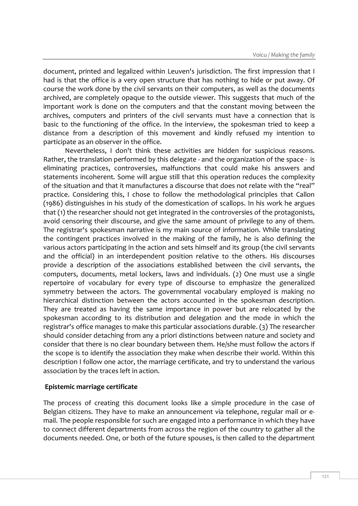document, printed and legalized within Leuven's jurisdiction. The first impression that I had is that the office is a very open structure that has nothing to hide or put away. Of course the work done by the civil servants on their computers, as well as the documents archived, are completely opaque to the outside viewer. This suggests that much of the important work is done on the computers and that the constant moving between the archives, computers and printers of the civil servants must have a connection that is basic to the functioning of the office. In the interview, the spokesman tried to keep a distance from a description of this movement and kindly refused my intention to participate as an observer in the office.

Nevertheless, I don't think these activities are hidden for suspicious reasons. Rather, the translation performed by this delegate - and the organization of the space - is eliminating practices, controversies, malfunctions that could make his answers and statements incoherent. Some will argue still that this operation reduces the complexity of the situation and that it manufactures a discourse that does not relate with the "real" practice. Considering this, I chose to follow the methodological principles that Callon (1986) distinguishes in his study of the domestication of scallops. In his work he argues that (1) the researcher should not get integrated in the controversies of the protagonists, avoid censoring their discourse, and give the same amount of privilege to any of them. The registrar's spokesman narrative is my main source of information. While translating the contingent practices involved in the making of the family, he is also defining the various actors participating in the action and sets himself and its group (the civil servants and the official) in an interdependent position relative to the others. His discourses provide a description of the associations established between the civil servants, the computers, documents, metal lockers, laws and individuals. (2) One must use a single repertoire of vocabulary for every type of discourse to emphasize the generalized symmetry between the actors. The governmental vocabulary employed is making no hierarchical distinction between the actors accounted in the spokesman description. They are treated as having the same importance in power but are relocated by the spokesman according to its distribution and delegation and the mode in which the registrar's office manages to make this particular associations durable. (3) The researcher should consider detaching from any a priori distinctions between nature and society and consider that there is no clear boundary between them. He/she must follow the actors if the scope is to identify the association they make when describe their world. Within this description I follow one actor, the marriage certificate, and try to understand the various association by the traces left in action.

### **Epistemic marriage certificate**

The process of creating this document looks like a simple procedure in the case of Belgian citizens. They have to make an announcement via telephone, regular mail or email. The people responsible for such are engaged into a performance in which they have to connect different departments from across the region of the country to gather all the documents needed. One, or both of the future spouses, is then called to the department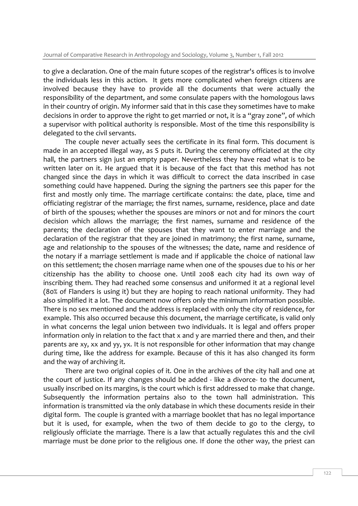to give a declaration. One of the main future scopes of the registrar's offices is to involve the individuals less in this action. It gets more complicated when foreign citizens are involved because they have to provide all the documents that were actually the responsibility of the department, and some consulate papers with the homologous laws in their country of origin. My informer said that in this case they sometimes have to make decisions in order to approve the right to get married or not, it is a "gray zone", of which a supervisor with political authority is responsible. Most of the time this responsibility is delegated to the civil servants.

The couple never actually sees the certificate in its final form. This document is made in an accepted illegal way, as S puts it. During the ceremony officiated at the city hall, the partners sign just an empty paper. Nevertheless they have read what is to be written later on it. He argued that it is because of the fact that this method has not changed since the days in which it was difficult to correct the data inscribed in case something could have happened. During the signing the partners see this paper for the first and mostly only time. The marriage certificate contains: the date, place, time and officiating registrar of the marriage; the first names, surname, residence, place and date of birth of the spouses; whether the spouses are minors or not and for minors the court decision which allows the marriage; the first names, surname and residence of the parents; the declaration of the spouses that they want to enter marriage and the declaration of the registrar that they are joined in matrimony; the first name, surname, age and relationship to the spouses of the witnesses; the date, name and residence of the notary if a marriage settlement is made and if applicable the choice of national law on this settlement; the chosen marriage name when one of the spouses due to his or her citizenship has the ability to choose one. Until 2008 each city had its own way of inscribing them. They had reached some consensus and uniformed it at a regional level (80% of Flanders is using it) but they are hoping to reach national uniformity. They had also simplified it a lot. The document now offers only the minimum information possible. There is no sex mentioned and the address is replaced with only the city of residence, for example. This also occurred because this document, the marriage certificate, is valid only in what concerns the legal union between two individuals. It is legal and offers proper information only in relation to the fact that x and y are married there and then, and their parents are xy, xx and yy, yx. It is not responsible for other information that may change during time, like the address for example. Because of this it has also changed its form and the way of archiving it.

There are two original copies of it. One in the archives of the city hall and one at the court of justice. If any changes should be added - like a divorce- to the document, usually inscribed on its margins, is the court which is first addressed to make that change. Subsequently the information pertains also to the town hall administration. This information is transmitted via the only database in which these documents reside in their digital form. The couple is granted with a marriage booklet that has no legal importance but it is used, for example, when the two of them decide to go to the clergy, to religiously officiate the marriage. There is a law that actually regulates this and the civil marriage must be done prior to the religious one. If done the other way, the priest can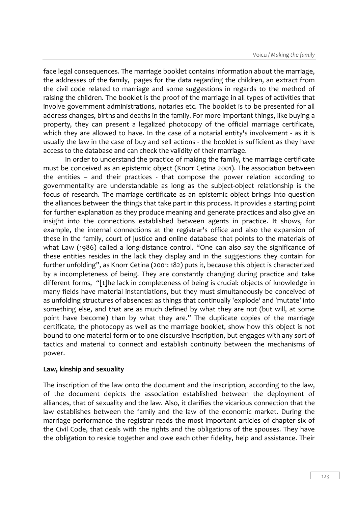face legal consequences. The marriage booklet contains information about the marriage, the addresses of the family, pages for the data regarding the children, an extract from the civil code related to marriage and some suggestions in regards to the method of raising the children. The booklet is the proof of the marriage in all types of activities that involve government administrations, notaries etc. The booklet is to be presented for all address changes, births and deaths in the family. For more important things, like buying a property, they can present a legalized photocopy of the official marriage certificate, which they are allowed to have. In the case of a notarial entity's involvement - as it is usually the law in the case of buy and sell actions - the booklet is sufficient as they have access to the database and can check the validity of their marriage.

In order to understand the practice of making the family, the marriage certificate must be conceived as an epistemic object (Knorr Cetina 2001). The association between the entities – and their practices - that compose the power relation according to governmentality are understandable as long as the subject-object relationship is the focus of research. The marriage certificate as an epistemic object brings into question the alliances between the things that take part in this process. It provides a starting point for further explanation as they produce meaning and generate practices and also give an insight into the connections established between agents in practice. It shows, for example, the internal connections at the registrar's office and also the expansion of these in the family, court of justice and online database that points to the materials of what Law (1986) called a long-distance control. "One can also say the significance of these entities resides in the lack they display and in the suggestions they contain for further unfolding", as Knorr Cetina (2001: 182) puts it, because this object is characterized by a incompleteness of being. They are constantly changing during practice and take different forms, "[t]he lack in completeness of being is crucial: objects of knowledge in many fields have material instantiations, but they must simultaneously be conceived of as unfolding structures of absences: as things that continually 'explode' and 'mutate' into something else, and that are as much defined by what they are not (but will, at some point have become) than by what they are." The duplicate copies of the marriage certificate, the photocopy as well as the marriage booklet, show how this object is not bound to one material form or to one discursive inscription, but engages with any sort of tactics and material to connect and establish continuity between the mechanisms of power.

### **Law, kinship and sexuality**

The inscription of the law onto the document and the inscription, according to the law, of the document depicts the association established between the deployment of alliances, that of sexuality and the law. Also, it clarifies the vicarious connection that the law establishes between the family and the law of the economic market. During the marriage performance the registrar reads the most important articles of chapter six of the Civil Code, that deals with the rights and the obligations of the spouses. They have the obligation to reside together and owe each other fidelity, help and assistance. Their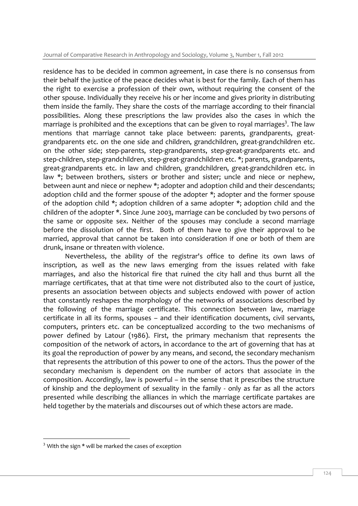residence has to be decided in common agreement, in case there is no consensus from their behalf the justice of the peace decides what is best for the family. Each of them has the right to exercise a profession of their own, without requiring the consent of the other spouse. Individually they receive his or her income and gives priority in distributing them inside the family. They share the costs of the marriage according to their financial possibilities. Along these prescriptions the law provides also the cases in which the marriage is prohibited and the exceptions that can be given to royal marriages<sup>3</sup>. The law mentions that marriage cannot take place between: parents, grandparents, greatgrandparents etc. on the one side and children, grandchildren, great-grandchildren etc. on the other side; step-parents, step-grandparents, step-great-grandparents etc. and step-children, step-grandchildren, step-great-grandchildren etc. \*; parents, grandparents, great-grandparents etc. in law and children, grandchildren, great-grandchildren etc. in law \*; between brothers, sisters or brother and sister; uncle and niece or nephew, between aunt and niece or nephew \*; adopter and adoption child and their descendants; adoption child and the former spouse of the adopter \*; adopter and the former spouse of the adoption child \*; adoption children of a same adopter \*; adoption child and the children of the adopter \*. Since June 2003, marriage can be concluded by two persons of the same or opposite sex. Neither of the spouses may conclude a second marriage before the dissolution of the first. Both of them have to give their approval to be married, approval that cannot be taken into consideration if one or both of them are drunk, insane or threaten with violence.

Nevertheless, the ability of the registrar's office to define its own laws of inscription, as well as the new laws emerging from the issues related with fake marriages, and also the historical fire that ruined the city hall and thus burnt all the marriage certificates, that at that time were not distributed also to the court of justice, presents an association between objects and subjects endowed with power of action that constantly reshapes the morphology of the networks of associations described by the following of the marriage certificate. This connection between law, marriage certificate in all its forms, spouses – and their identification documents, civil servants, computers, printers etc. can be conceptualized according to the two mechanisms of power defined by Latour (1986). First, the primary mechanism that represents the composition of the network of actors, in accordance to the art of governing that has at its goal the reproduction of power by any means, and second, the secondary mechanism that represents the attribution of this power to one of the actors. Thus the power of the secondary mechanism is dependent on the number of actors that associate in the composition. Accordingly, law is powerful – in the sense that it prescribes the structure of kinship and the deployment of sexuality in the family - only as far as all the actors presented while describing the alliances in which the marriage certificate partakes are held together by the materials and discourses out of which these actors are made.

-

<sup>&</sup>lt;sup>3</sup> With the sign \* will be marked the cases of exception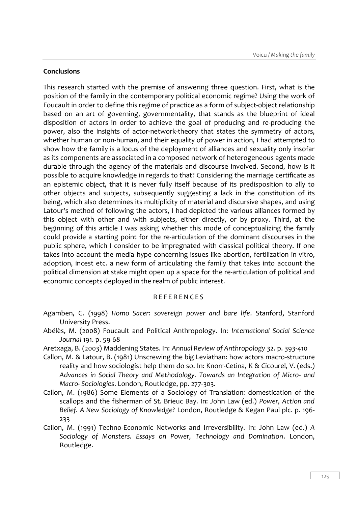#### **Conclusions**

This research started with the premise of answering three question. First, what is the position of the family in the contemporary political economic regime? Using the work of Foucault in order to define this regime of practice as a form of subject-object relationship based on an art of governing, governmentality, that stands as the blueprint of ideal disposition of actors in order to achieve the goal of producing and re-producing the power, also the insights of actor-network-theory that states the symmetry of actors, whether human or non-human, and their equality of power in action, I had attempted to show how the family is a locus of the deployment of alliances and sexuality only insofar as its components are associated in a composed network of heterogeneous agents made durable through the agency of the materials and discourse involved. Second, how is it possible to acquire knowledge in regards to that? Considering the marriage certificate as an epistemic object, that it is never fully itself because of its predisposition to ally to other objects and subjects, subsequently suggesting a lack in the constitution of its being, which also determines its multiplicity of material and discursive shapes, and using Latour's method of following the actors, I had depicted the various alliances formed by this object with other and with subjects, either directly, or by proxy. Third, at the beginning of this article I was asking whether this mode of conceptualizing the family could provide a starting point for the re-articulation of the dominant discourses in the public sphere, which I consider to be impregnated with classical political theory. If one takes into account the media hype concerning issues like abortion, fertilization in vitro, adoption, incest etc. a new form of articulating the family that takes into account the political dimension at stake might open up a space for the re-articulation of political and economic concepts deployed in the realm of public interest.

#### R E F E R E N C E S

- Agamben, G. (1998) *Homo Sacer: sovereign power and bare life*. Stanford, Stanford University Press.
- Abélès, M. (2008) Foucault and Political Anthropology. In: *International Social Science Journal* 191. p. 59-68
- Aretxaga, B. (2003) Maddening States. In: *Annual Review of Anthropology* 32. p. 393-410
- Callon, M. & Latour, B. (1981) Unscrewing the big Leviathan: how actors macro-structure reality and how sociologist help them do so. In: Knorr-Cetina, K & Cicourel, V. (eds.) *Advances in Social Theory and Methodology. Towards an Integration of Micro- and Macro- Sociologies*. London, Routledge, pp. 277-303.
- Callon, M. (1986) Some Elements of a Sociology of Translation: domestication of the scallops and the fisherman of St. Brieuc Bay. In: John Law (ed.) *Power, Action and Belief. A New Sociology of Knowledge?* London, Routledge & Kegan Paul plc. p. 196- 233
- Callon, M. (1991) Techno-Economic Networks and Irreversibility. In: John Law (ed.) *A Sociology of Monsters. Essays on Power, Technology and Domination*. London, Routledge.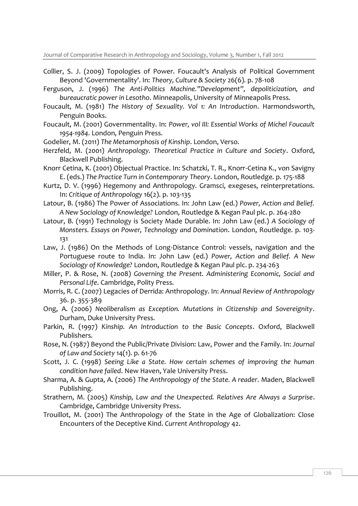Journal of Comparative Research in Anthropology and Sociology, Volume 3, Number 1, Fall 2012

- Collier, S. J. (2009) Topologies of Power. Foucault's Analysis of Political Government Beyond 'Governmentality'. In: *Theory, Culture & Society* 26(6). p. 78-108
- Ferguson, J. (1996) *The Anti-Politics Machine."Development", depoliticization, and bureaucratic power in Lesotho*. Minneapolis, University of Minneapolis Press.
- Foucault, M. (1981) *The History of Sexuality. Vol 1: An Introduction*. Harmondsworth, Penguin Books.
- Foucault, M. (2001) Governmentality. In: *Power, vol III: Essential Works of Michel Foucault 1954-1984*. London, Penguin Press.
- Godelier, M. (2011) *The Metamorphosis of Kinship*. London, Verso.
- Herzfeld, M. (2001) *Anthropology. Theoretical Practice in Culture and Society*. Oxford, Blackwell Publishing.
- Knorr Cetina, K. (2001) Objectual Practice. In: Schatzki, T. R., Knorr-Cetina K., von Savigny E. (eds.) *The Practice Turn in Contemporary Theory*. London, Routledge. p. 175-188
- Kurtz, D. V. (1996) Hegemony and Anthropology. Gramsci, exegeses, reinterpretations. In: *Critique of Anthropology* 16(2). p. 103-135
- Latour, B. (1986) The Power of Associations. In: John Law (ed.) *Power, Action and Belief. A New Sociology of Knowledge?* London, Routledge & Kegan Paul plc. p. 264-280
- Latour, B. (1991) Technology is Society Made Durable. In: John Law (ed.) *A Sociology of Monsters. Essays on Power, Technology and Domination*. London, Routledge. p. 103- 131
- Law, J. (1986) On the Methods of Long-Distance Control: vessels, navigation and the Portuguese route to India. In: John Law (ed.) *Power, Action and Belief. A New Sociology of Knowledge?* London, Routledge & Kegan Paul plc. p. 234-263
- Miller, P. & Rose, N. (2008) *Governing the Present. Administering Economic, Social and Personal Life*. Cambridge, Polity Press.
- Morris, R. C. (2007) Legacies of Derrida: Anthropology. In: *Annual Review of Anthropology* 36. p. 355-389
- Ong, A. (2006) *Neoliberalism as Exception. Mutations in Citizenship and Sovereignity*. Durham, Duke University Press.
- Parkin, R. (1997) *Kinship. An Introduction to the Basic Concepts*. Oxford, Blackwell Publishers.
- Rose, N. (1987) Beyond the Public/Private Division: Law, Power and the Family. In: *Journal of Law and Society* 14(1). p. 61-76
- Scott, J. C. (1998) *Seeing Like a State. How certain schemes of improving the human condition have failed*. New Haven, Yale University Press.
- Sharma, A. & Gupta, A. (2006) *The Anthropology of the State. A reader*. Maden, Blackwell Publishing.
- Strathern, M. (2005) *Kinship, Law and the Unexpected. Relatives Are Always a Surprise*. Cambridge, Cambridge University Press.
- Trouillot, M. (2001) The Anthropology of the State in the Age of Globalization: Close Encounters of the Deceptive Kind. *Current Anthropology* 42.